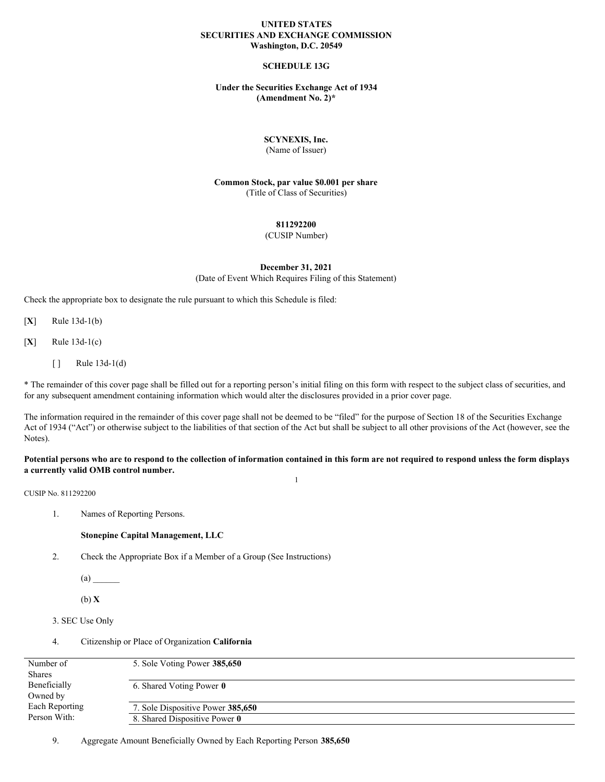## **UNITED STATES SECURITIES AND EXCHANGE COMMISSION Washington, D.C. 20549**

## **SCHEDULE 13G**

## **Under the Securities Exchange Act of 1934 (Amendment No. 2)\***

## **SCYNEXIS, Inc.**

(Name of Issuer)

**Common Stock, par value \$0.001 per share** (Title of Class of Securities)

## **811292200**

(CUSIP Number)

## **December 31, 2021**

(Date of Event Which Requires Filing of this Statement)

Check the appropriate box to designate the rule pursuant to which this Schedule is filed:

[**X**] Rule 13d-1(b)

[**X**] Rule 13d-1(c)

 $[ ]$  Rule 13d-1(d)

\* The remainder of this cover page shall be filled out for a reporting person's initial filing on this form with respect to the subject class of securities, and for any subsequent amendment containing information which would alter the disclosures provided in a prior cover page.

The information required in the remainder of this cover page shall not be deemed to be "filed" for the purpose of Section 18 of the Securities Exchange Act of 1934 ("Act") or otherwise subject to the liabilities of that section of the Act but shall be subject to all other provisions of the Act (however, see the Notes).

#### Potential persons who are to respond to the collection of information contained in this form are not required to respond unless the form displays **a currently valid OMB control number.** 1

CUSIP No. 811292200

1. Names of Reporting Persons.

#### **Stonepine Capital Management, LLC**

2. Check the Appropriate Box if a Member of a Group (See Instructions)

 $(a)$ 

(b) **X**

```
3. SEC Use Only
```
4. Citizenship or Place of Organization **California**

| Number of      | 5. Sole Voting Power 385,650      |
|----------------|-----------------------------------|
| <b>Shares</b>  |                                   |
| Beneficially   | 6. Shared Voting Power 0          |
| Owned by       |                                   |
| Each Reporting | 7. Sole Dispositive Power 385,650 |
| Person With:   | 8. Shared Dispositive Power 0     |

9. Aggregate Amount Beneficially Owned by Each Reporting Person **385,650**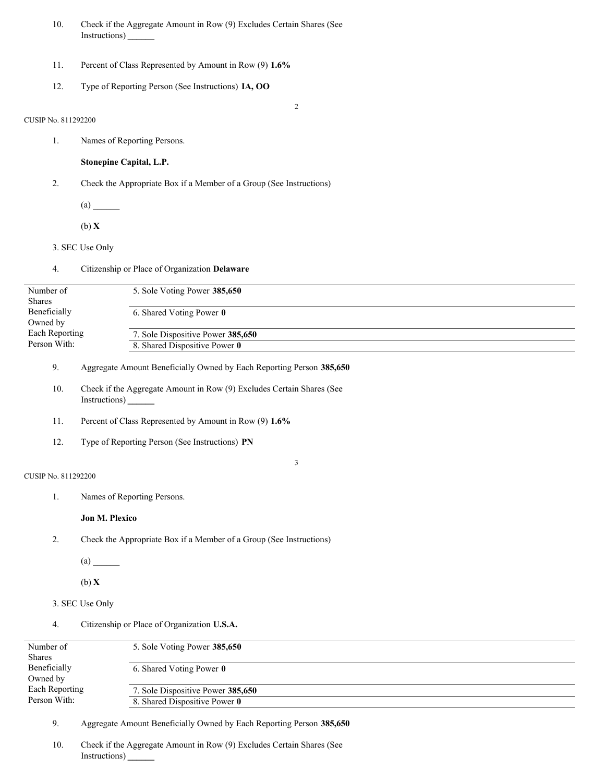- 10. Check if the Aggregate Amount in Row (9) Excludes Certain Shares (See Instructions) **\_\_\_\_\_\_**
- 11. Percent of Class Represented by Amount in Row (9) **1.6%**
- 12. Type of Reporting Person (See Instructions) **IA, OO**

2

## CUSIP No. 811292200

1. Names of Reporting Persons.

**Stonepine Capital, L.P.**

- 2. Check the Appropriate Box if a Member of a Group (See Instructions)
	- $(a)$

(b) **X**

3. SEC Use Only

|  |  | Citizenship or Place of Organization Delaware |  |  |  |  |
|--|--|-----------------------------------------------|--|--|--|--|
|--|--|-----------------------------------------------|--|--|--|--|

| Number of      | 5. Sole Voting Power 385,650      |
|----------------|-----------------------------------|
| <b>Shares</b>  |                                   |
| Beneficially   | 6. Shared Voting Power 0          |
| Owned by       |                                   |
| Each Reporting | 7. Sole Dispositive Power 385,650 |
| Person With:   | 8. Shared Dispositive Power 0     |
|                |                                   |

9. Aggregate Amount Beneficially Owned by Each Reporting Person **385,650**

- 10. Check if the Aggregate Amount in Row (9) Excludes Certain Shares (See Instructions) **\_\_\_\_\_\_**
- 11. Percent of Class Represented by Amount in Row (9) **1.6%**
- 12. Type of Reporting Person (See Instructions) **PN**

## 3

- CUSIP No. 811292200
	- 1. Names of Reporting Persons.

## **Jon M. Plexico**

2. Check the Appropriate Box if a Member of a Group (See Instructions)

 $(a)$ 

(b) **X**

- 3. SEC Use Only
- 4. Citizenship or Place of Organization **U.S.A.**

| Number of      | 5. Sole Voting Power 385,650      |
|----------------|-----------------------------------|
| <b>Shares</b>  |                                   |
| Beneficially   | 6. Shared Voting Power 0          |
| Owned by       |                                   |
| Each Reporting | 7. Sole Dispositive Power 385,650 |
| Person With:   | 8. Shared Dispositive Power 0     |
|                |                                   |

9. Aggregate Amount Beneficially Owned by Each Reporting Person **385,650**

10. Check if the Aggregate Amount in Row (9) Excludes Certain Shares (See Instructions) **\_\_\_\_\_\_**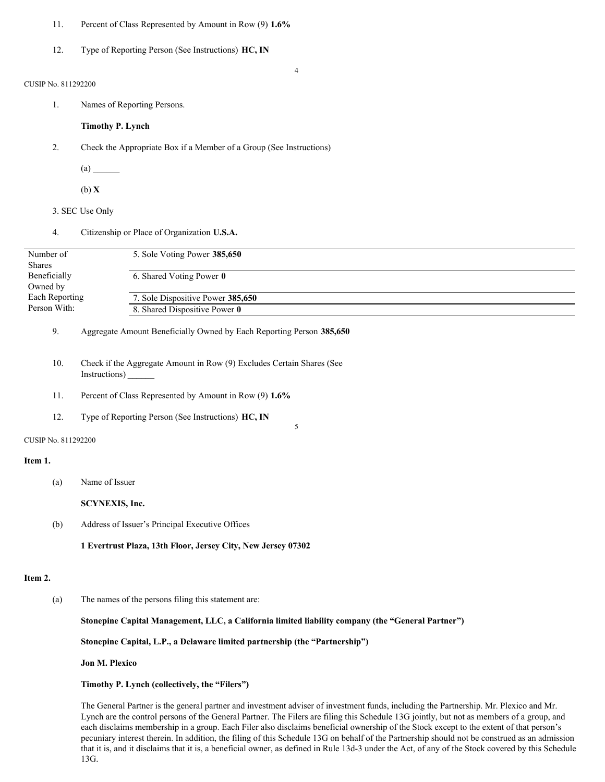- 11. Percent of Class Represented by Amount in Row (9) **1.6%**
- 12. Type of Reporting Person (See Instructions) **HC, IN**

#### 4

## CUSIP No. 811292200

1. Names of Reporting Persons.

## **Timothy P. Lynch**

- 2. Check the Appropriate Box if a Member of a Group (See Instructions)
	- $(a)$
	- (b) **X**
- 3. SEC Use Only
- 4. Citizenship or Place of Organization **U.S.A.**

| Number of<br><b>Shares</b> | 5. Sole Voting Power 385,650      |
|----------------------------|-----------------------------------|
| Beneficially               | 6. Shared Voting Power 0          |
| Owned by                   |                                   |
| Each Reporting             | 7. Sole Dispositive Power 385,650 |
| Person With:               | 8. Shared Dispositive Power 0     |

5

## 9. Aggregate Amount Beneficially Owned by Each Reporting Person **385,650**

- 10. Check if the Aggregate Amount in Row (9) Excludes Certain Shares (See Instructions) **\_\_\_\_\_\_**
- 11. Percent of Class Represented by Amount in Row (9) **1.6%**
- 12. Type of Reporting Person (See Instructions) **HC, IN**

#### CUSIP No. 811292200

#### **Item 1.**

(a) Name of Issuer

**SCYNEXIS, Inc.**

(b) Address of Issuer's Principal Executive Offices

**1 Evertrust Plaza, 13th Floor, Jersey City, New Jersey 07302**

## **Item 2.**

(a) The names of the persons filing this statement are:

## **Stonepine Capital Management, LLC, a California limited liability company (the "General Partner")**

## **Stonepine Capital, L.P., a Delaware limited partnership (the "Partnership")**

#### **Jon M. Plexico**

## **Timothy P. Lynch (collectively, the "Filers")**

The General Partner is the general partner and investment adviser of investment funds, including the Partnership. Mr. Plexico and Mr. Lynch are the control persons of the General Partner. The Filers are filing this Schedule 13G jointly, but not as members of a group, and each disclaims membership in a group. Each Filer also disclaims beneficial ownership of the Stock except to the extent of that person's pecuniary interest therein. In addition, the filing of this Schedule 13G on behalf of the Partnership should not be construed as an admission that it is, and it disclaims that it is, a beneficial owner, as defined in Rule 13d-3 under the Act, of any of the Stock covered by this Schedule 13G.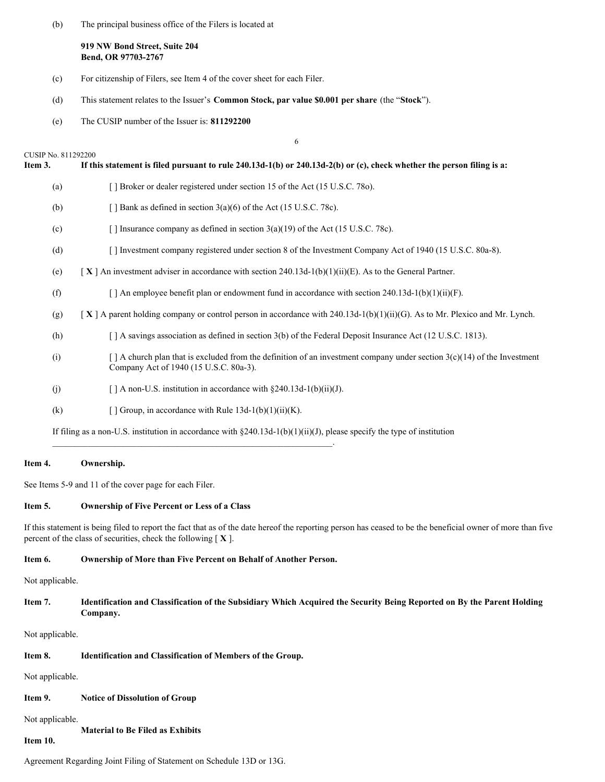(b) The principal business office of the Filers is located at

**919 NW Bond Street, Suite 204 Bend, OR 97703-2767**

- (c) For citizenship of Filers, see Item 4 of the cover sheet for each Filer.
- (d) This statement relates to the Issuer's **Common Stock, par value \$0.001 per share** (the "**Stock**").
- (e) The CUSIP number of the Issuer is: **811292200**

|                                | 6                                                                                                                                                                       |
|--------------------------------|-------------------------------------------------------------------------------------------------------------------------------------------------------------------------|
| CUSIP No. 811292200<br>Item 3. | If this statement is filed pursuant to rule 240.13d-1(b) or 240.13d-2(b) or (c), check whether the person filing is a:                                                  |
| (a)                            | [] Broker or dealer registered under section 15 of the Act (15 U.S.C. 780).                                                                                             |
| (b)                            | [ ] Bank as defined in section $3(a)(6)$ of the Act (15 U.S.C. 78c).                                                                                                    |
| (c)                            | [] Insurance company as defined in section $3(a)(19)$ of the Act (15 U.S.C. 78c).                                                                                       |
| (d)                            | [ ] Investment company registered under section 8 of the Investment Company Act of 1940 (15 U.S.C. 80a-8).                                                              |
| (e)                            | $\begin{bmatrix} \mathbf{X} \end{bmatrix}$ An investment adviser in accordance with section 240.13d-1(b)(1)(ii)(E). As to the General Partner.                          |
| (f)                            | [ ] An employee benefit plan or endowment fund in accordance with section 240.13d-1(b)(1)(ii)(F).                                                                       |
| (g)                            | [X] A parent holding company or control person in accordance with 240.13d-1(b)(1)(ii)(G). As to Mr. Plexico and Mr. Lynch.                                              |
| (h)                            | [] A savings association as defined in section 3(b) of the Federal Deposit Insurance Act (12 U.S.C. 1813).                                                              |
| (i)                            | $\lceil$ A church plan that is excluded from the definition of an investment company under section 3(c)(14) of the Investment<br>Company Act of 1940 (15 U.S.C. 80a-3). |
| (j)                            | [] A non-U.S. institution in accordance with $\S 240.13d-1(b)(ii)(J)$ .                                                                                                 |
| (k)                            | [ ] Group, in accordance with Rule $13d-1(b)(1)(ii)(K)$ .                                                                                                               |
|                                | If filing as a non-U.S. institution in accordance with $\S 240.13d-1(b)(1)(ii)(J)$ , please specify the type of institution                                             |

## **Item 4. Ownership.**

See Items 5-9 and 11 of the cover page for each Filer.

## **Item 5. Ownership of Five Percent or Less of a Class**

If this statement is being filed to report the fact that as of the date hereof the reporting person has ceased to be the beneficial owner of more than five percent of the class of securities, check the following [ **X** ].

## **Item 6. Ownership of More than Five Percent on Behalf of Another Person.**

\_\_\_\_\_\_\_\_\_\_\_\_\_\_\_\_\_\_\_\_\_\_\_\_\_\_\_\_\_\_\_\_\_\_\_\_\_\_\_\_\_\_\_\_\_\_\_\_\_\_\_\_\_\_\_\_\_\_\_\_\_\_\_.

Not applicable.

Item 7. Identification and Classification of the Subsidiary Which Acquired the Security Being Reported on By the Parent Holding **Company.**

Not applicable.

## **Item 8. Identification and Classification of Members of the Group.**

Not applicable.

**Item 9. Notice of Dissolution of Group**

# Not applicable.

**Material to Be Filed as Exhibits**

# **Item 10.**

Agreement Regarding Joint Filing of Statement on Schedule 13D or 13G.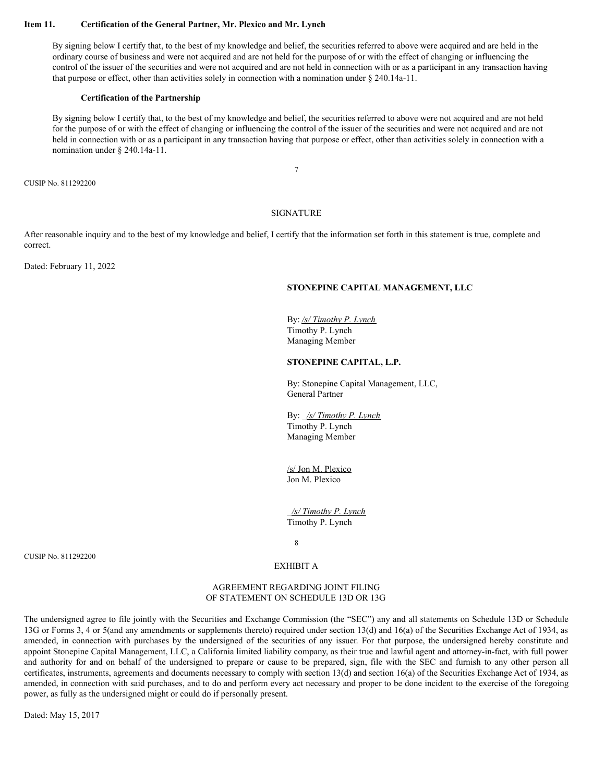### **Item 11. Certification of the General Partner, Mr. Plexico and Mr. Lynch**

By signing below I certify that, to the best of my knowledge and belief, the securities referred to above were acquired and are held in the ordinary course of business and were not acquired and are not held for the purpose of or with the effect of changing or influencing the control of the issuer of the securities and were not acquired and are not held in connection with or as a participant in any transaction having that purpose or effect, other than activities solely in connection with a nomination under § 240.14a-11.

#### **Certification of the Partnership**

By signing below I certify that, to the best of my knowledge and belief, the securities referred to above were not acquired and are not held for the purpose of or with the effect of changing or influencing the control of the issuer of the securities and were not acquired and are not held in connection with or as a participant in any transaction having that purpose or effect, other than activities solely in connection with a nomination under § 240.14a-11.

7

CUSIP No. 811292200

#### SIGNATURE

After reasonable inquiry and to the best of my knowledge and belief, I certify that the information set forth in this statement is true, complete and correct.

Dated: February 11, 2022

## **STONEPINE CAPITAL MANAGEMENT, LLC**

By: */s/ Timothy P. Lynch* Timothy P. Lynch Managing Member

## **STONEPINE CAPITAL, L.P.**

By: Stonepine Capital Management, LLC, General Partner

By: \_*/s/ Timothy P. Lynch* Timothy P. Lynch Managing Member

/s/ Jon M. Plexico Jon M. Plexico

\_*/s/ Timothy P. Lynch* Timothy P. Lynch

8

CUSIP No. 811292200

## EXHIBIT A

## AGREEMENT REGARDING JOINT FILING OF STATEMENT ON SCHEDULE 13D OR 13G

The undersigned agree to file jointly with the Securities and Exchange Commission (the "SEC") any and all statements on Schedule 13D or Schedule 13G or Forms 3, 4 or 5(and any amendments or supplements thereto) required under section 13(d) and 16(a) of the Securities Exchange Act of 1934, as amended, in connection with purchases by the undersigned of the securities of any issuer. For that purpose, the undersigned hereby constitute and appoint Stonepine Capital Management, LLC, a California limited liability company, as their true and lawful agent and attorney-in-fact, with full power and authority for and on behalf of the undersigned to prepare or cause to be prepared, sign, file with the SEC and furnish to any other person all certificates, instruments, agreements and documents necessary to comply with section 13(d) and section 16(a) of the Securities Exchange Act of 1934, as amended, in connection with said purchases, and to do and perform every act necessary and proper to be done incident to the exercise of the foregoing power, as fully as the undersigned might or could do if personally present.

Dated: May 15, 2017